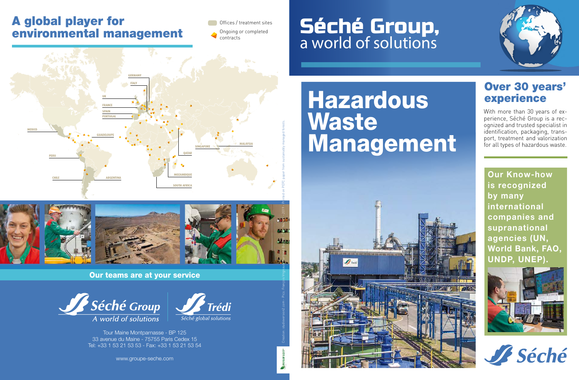### A global player for environmental management

Offices / treatment sites Ongoing or completed contracts

### Séché Group, a world of solutions





![](_page_0_Picture_5.jpeg)

Our teams are at your service

![](_page_0_Picture_7.jpeg)

![](_page_0_Picture_8.jpeg)

Tour Maine Montparnasse - BP 125

33 avenue du Maine - 75755 Paris Cedex 15 Tel: +33 1 53 21 53 53 - Fax: +33 1 53 21 53 54

www.groupe-seche.com

## **Hazardous Waste** Management

![](_page_0_Picture_13.jpeg)

## Over 30 years'<br>experience

With more than 30 years of experience, Séché Group is a recognized and trusted specialist in identification, packaging, transport, treatment and valorization for all types of hazardous waste.

**Our Know-how is recognized by many international companies and supranational agencies (UN, World Bank, FAO, UNDP, UNEP).**

![](_page_0_Picture_17.jpeg)

![](_page_0_Picture_18.jpeg)